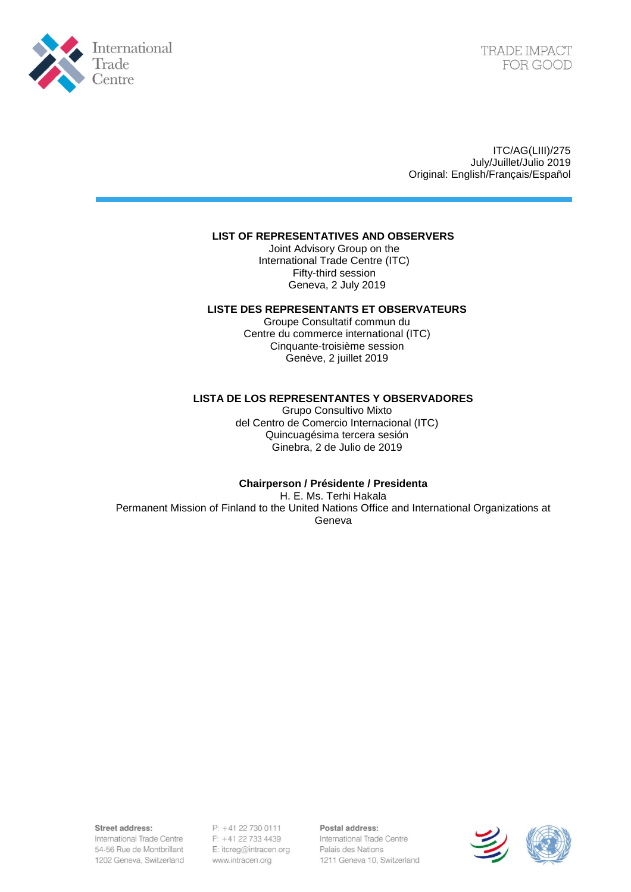

TRADE IMPACT FOR GOOD

ITC/AG(LIII)/275 July/Juillet/Julio 2019 Original: English/Français/Español

### **LIST OF REPRESENTATIVES AND OBSERVERS**

Joint Advisory Group on the International Trade Centre (ITC) Fifty-third session Geneva, 2 July 2019

#### **LISTE DES REPRESENTANTS ET OBSERVATEURS**

Groupe Consultatif commun du Centre du commerce international (ITC) Cinquante-troisième session Genève, 2 juillet 2019

#### **LISTA DE LOS REPRESENTANTES Y OBSERVADORES**

Grupo Consultivo Mixto del Centro de Comercio Internacional (ITC) Quincuagésima tercera sesión Ginebra, 2 de Julio de 2019

## **Chairperson / Présidente / Presidenta**

H. E. Ms. Terhi Hakala

Permanent Mission of Finland to the United Nations Office and International Organizations at Geneva

Street address:

International Trade Centre 54-56 Rue de Montbrillant 1202 Geneva, Switzerland  $P: +41227300111$  $F: +41 22 733 4439$ E: itcreg@intracen.org www.intracen.org

Postal address: International Trade Centre Palais des Nations 1211 Geneva 10, Switzerland

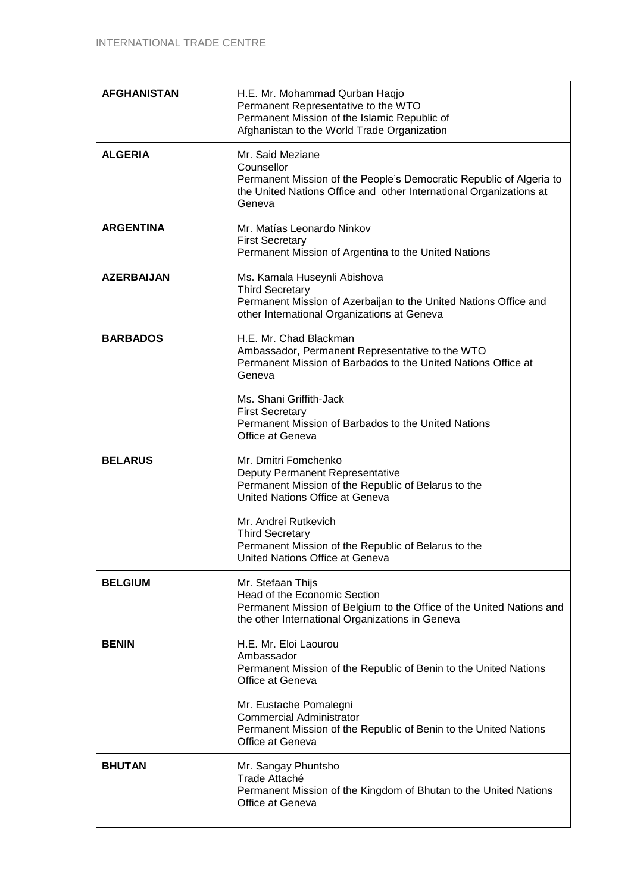| <b>AFGHANISTAN</b> | H.E. Mr. Mohammad Qurban Haqjo<br>Permanent Representative to the WTO<br>Permanent Mission of the Islamic Republic of<br>Afghanistan to the World Trade Organization                  |
|--------------------|---------------------------------------------------------------------------------------------------------------------------------------------------------------------------------------|
| <b>ALGERIA</b>     | Mr. Said Meziane<br>Counsellor<br>Permanent Mission of the People's Democratic Republic of Algeria to<br>the United Nations Office and other International Organizations at<br>Geneva |
| <b>ARGENTINA</b>   | Mr. Matías Leonardo Ninkov<br><b>First Secretary</b><br>Permanent Mission of Argentina to the United Nations                                                                          |
| <b>AZERBAIJAN</b>  | Ms. Kamala Huseynli Abishova<br><b>Third Secretary</b><br>Permanent Mission of Azerbaijan to the United Nations Office and<br>other International Organizations at Geneva             |
| <b>BARBADOS</b>    | H.E. Mr. Chad Blackman<br>Ambassador, Permanent Representative to the WTO<br>Permanent Mission of Barbados to the United Nations Office at<br>Geneva                                  |
|                    | Ms. Shani Griffith-Jack<br><b>First Secretary</b><br>Permanent Mission of Barbados to the United Nations<br>Office at Geneva                                                          |
| <b>BELARUS</b>     | Mr. Dmitri Fomchenko<br>Deputy Permanent Representative<br>Permanent Mission of the Republic of Belarus to the<br>United Nations Office at Geneva                                     |
|                    | Mr. Andrei Rutkevich<br><b>Third Secretary</b><br>Permanent Mission of the Republic of Belarus to the<br>United Nations Office at Geneva                                              |
| <b>BELGIUM</b>     | Mr. Stefaan Thijs<br>Head of the Economic Section<br>Permanent Mission of Belgium to the Office of the United Nations and<br>the other International Organizations in Geneva          |
| <b>BENIN</b>       | H.E. Mr. Eloi Laourou<br>Ambassador<br>Permanent Mission of the Republic of Benin to the United Nations<br>Office at Geneva                                                           |
|                    | Mr. Eustache Pomalegni<br><b>Commercial Administrator</b><br>Permanent Mission of the Republic of Benin to the United Nations<br>Office at Geneva                                     |
| <b>BHUTAN</b>      | Mr. Sangay Phuntsho<br>Trade Attaché<br>Permanent Mission of the Kingdom of Bhutan to the United Nations<br>Office at Geneva                                                          |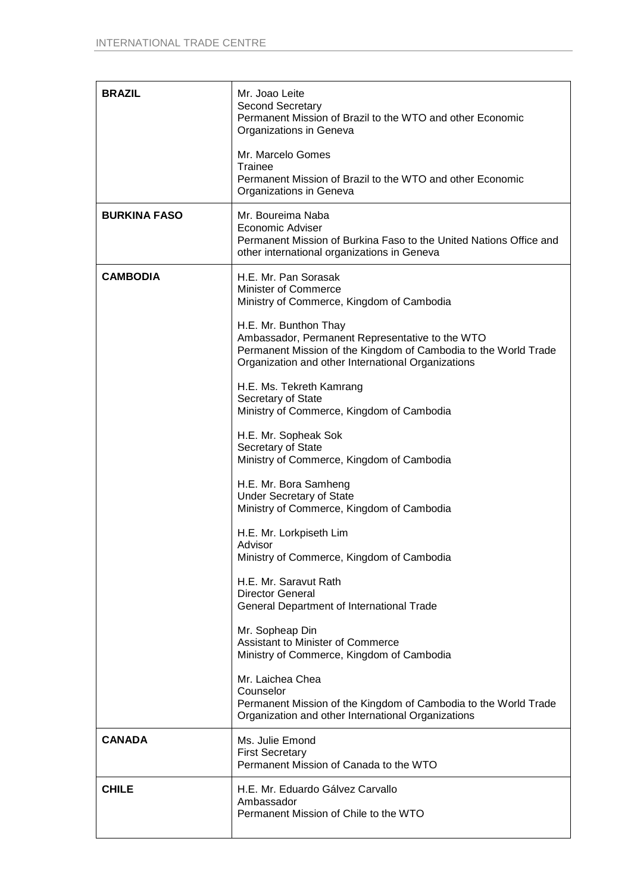| <b>BRAZIL</b>       | Mr. Joao Leite<br>Second Secretary<br>Permanent Mission of Brazil to the WTO and other Economic<br>Organizations in Geneva                                               |
|---------------------|--------------------------------------------------------------------------------------------------------------------------------------------------------------------------|
|                     | Mr. Marcelo Gomes<br>Trainee<br>Permanent Mission of Brazil to the WTO and other Economic<br>Organizations in Geneva                                                     |
| <b>BURKINA FASO</b> | Mr. Boureima Naba<br>Economic Adviser<br>Permanent Mission of Burkina Faso to the United Nations Office and<br>other international organizations in Geneva               |
| <b>CAMBODIA</b>     | H.E. Mr. Pan Sorasak<br>Minister of Commerce<br>Ministry of Commerce, Kingdom of Cambodia<br>H.E. Mr. Bunthon Thay                                                       |
|                     | Ambassador, Permanent Representative to the WTO<br>Permanent Mission of the Kingdom of Cambodia to the World Trade<br>Organization and other International Organizations |
|                     | H.E. Ms. Tekreth Kamrang<br>Secretary of State<br>Ministry of Commerce, Kingdom of Cambodia                                                                              |
|                     | H.E. Mr. Sopheak Sok<br>Secretary of State<br>Ministry of Commerce, Kingdom of Cambodia                                                                                  |
|                     | H.E. Mr. Bora Samheng<br><b>Under Secretary of State</b><br>Ministry of Commerce, Kingdom of Cambodia                                                                    |
|                     | H.E. Mr. Lorkpiseth Lim<br>Advisor<br>Ministry of Commerce, Kingdom of Cambodia                                                                                          |
|                     | H.E. Mr. Saravut Rath<br><b>Director General</b><br><b>General Department of International Trade</b>                                                                     |
|                     | Mr. Sopheap Din<br>Assistant to Minister of Commerce<br>Ministry of Commerce, Kingdom of Cambodia                                                                        |
|                     | Mr. Laichea Chea<br>Counselor<br>Permanent Mission of the Kingdom of Cambodia to the World Trade<br>Organization and other International Organizations                   |
| <b>CANADA</b>       | Ms. Julie Emond<br><b>First Secretary</b><br>Permanent Mission of Canada to the WTO                                                                                      |
| <b>CHILE</b>        | H.E. Mr. Eduardo Gálvez Carvallo<br>Ambassador<br>Permanent Mission of Chile to the WTO                                                                                  |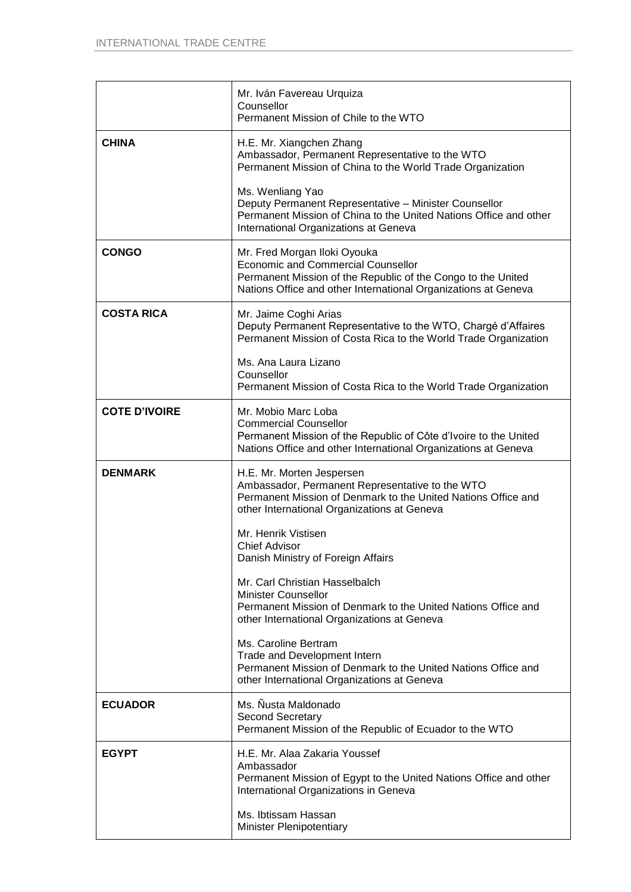|                      | Mr. Iván Favereau Urquiza<br>Counsellor<br>Permanent Mission of Chile to the WTO                                                                                                                            |
|----------------------|-------------------------------------------------------------------------------------------------------------------------------------------------------------------------------------------------------------|
| <b>CHINA</b>         | H.E. Mr. Xiangchen Zhang<br>Ambassador, Permanent Representative to the WTO<br>Permanent Mission of China to the World Trade Organization                                                                   |
|                      | Ms. Wenliang Yao<br>Deputy Permanent Representative - Minister Counsellor<br>Permanent Mission of China to the United Nations Office and other<br>International Organizations at Geneva                     |
| <b>CONGO</b>         | Mr. Fred Morgan Iloki Oyouka<br><b>Economic and Commercial Counsellor</b><br>Permanent Mission of the Republic of the Congo to the United<br>Nations Office and other International Organizations at Geneva |
| <b>COSTA RICA</b>    | Mr. Jaime Coghi Arias<br>Deputy Permanent Representative to the WTO, Chargé d'Affaires<br>Permanent Mission of Costa Rica to the World Trade Organization                                                   |
|                      | Ms. Ana Laura Lizano<br>Counsellor<br>Permanent Mission of Costa Rica to the World Trade Organization                                                                                                       |
| <b>COTE D'IVOIRE</b> | Mr. Mobio Marc Loba<br><b>Commercial Counsellor</b><br>Permanent Mission of the Republic of Côte d'Ivoire to the United<br>Nations Office and other International Organizations at Geneva                   |
| <b>DENMARK</b>       | H.E. Mr. Morten Jespersen<br>Ambassador, Permanent Representative to the WTO<br>Permanent Mission of Denmark to the United Nations Office and<br>other International Organizations at Geneva                |
|                      | Mr. Henrik Vistisen<br><b>Chief Advisor</b><br>Danish Ministry of Foreign Affairs                                                                                                                           |
|                      | Mr. Carl Christian Hasselbalch<br><b>Minister Counsellor</b><br>Permanent Mission of Denmark to the United Nations Office and<br>other International Organizations at Geneva                                |
|                      | Ms. Caroline Bertram<br>Trade and Development Intern<br>Permanent Mission of Denmark to the United Nations Office and<br>other International Organizations at Geneva                                        |
| <b>ECUADOR</b>       | Ms. Nusta Maldonado<br><b>Second Secretary</b><br>Permanent Mission of the Republic of Ecuador to the WTO                                                                                                   |
| <b>EGYPT</b>         | H.E. Mr. Alaa Zakaria Youssef<br>Ambassador<br>Permanent Mission of Egypt to the United Nations Office and other<br>International Organizations in Geneva                                                   |
|                      | Ms. Ibtissam Hassan<br>Minister Plenipotentiary                                                                                                                                                             |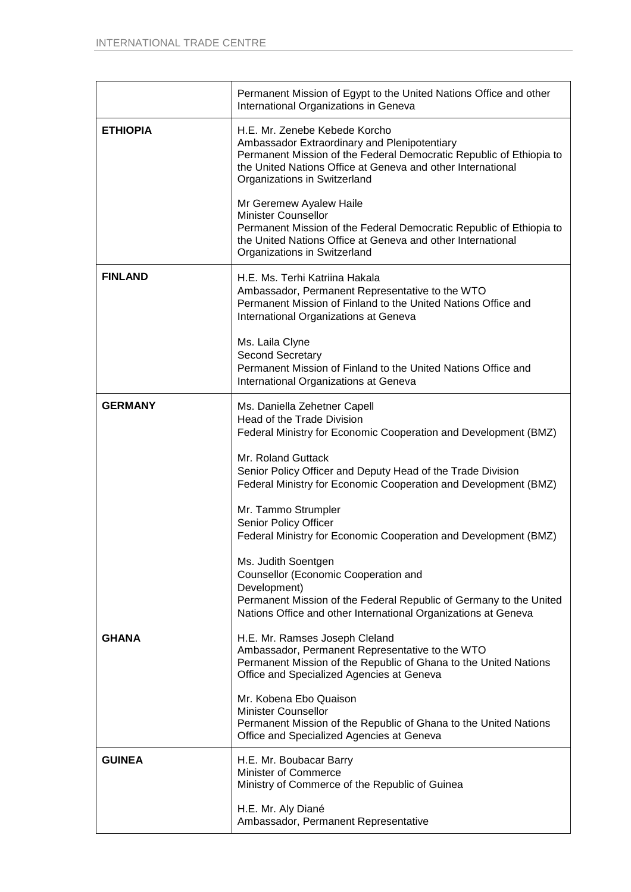|                 | Permanent Mission of Egypt to the United Nations Office and other<br>International Organizations in Geneva                                                                                                                                          |  |
|-----------------|-----------------------------------------------------------------------------------------------------------------------------------------------------------------------------------------------------------------------------------------------------|--|
| <b>ETHIOPIA</b> | H.E. Mr. Zenebe Kebede Korcho<br>Ambassador Extraordinary and Plenipotentiary<br>Permanent Mission of the Federal Democratic Republic of Ethiopia to<br>the United Nations Office at Geneva and other International<br>Organizations in Switzerland |  |
|                 | Mr Geremew Ayalew Haile<br><b>Minister Counsellor</b><br>Permanent Mission of the Federal Democratic Republic of Ethiopia to<br>the United Nations Office at Geneva and other International<br>Organizations in Switzerland                         |  |
| <b>FINLAND</b>  | H.E. Ms. Terhi Katriina Hakala<br>Ambassador, Permanent Representative to the WTO<br>Permanent Mission of Finland to the United Nations Office and<br>International Organizations at Geneva                                                         |  |
|                 | Ms. Laila Clyne<br><b>Second Secretary</b><br>Permanent Mission of Finland to the United Nations Office and<br>International Organizations at Geneva                                                                                                |  |
| <b>GERMANY</b>  | Ms. Daniella Zehetner Capell<br>Head of the Trade Division<br>Federal Ministry for Economic Cooperation and Development (BMZ)                                                                                                                       |  |
|                 | Mr. Roland Guttack<br>Senior Policy Officer and Deputy Head of the Trade Division<br>Federal Ministry for Economic Cooperation and Development (BMZ)                                                                                                |  |
|                 | Mr. Tammo Strumpler<br>Senior Policy Officer<br>Federal Ministry for Economic Cooperation and Development (BMZ)                                                                                                                                     |  |
|                 | Ms. Judith Soentgen<br>Counsellor (Economic Cooperation and<br>Development)<br>Permanent Mission of the Federal Republic of Germany to the United<br>Nations Office and other International Organizations at Geneva                                 |  |
| <b>GHANA</b>    | H.E. Mr. Ramses Joseph Cleland<br>Ambassador, Permanent Representative to the WTO<br>Permanent Mission of the Republic of Ghana to the United Nations<br>Office and Specialized Agencies at Geneva                                                  |  |
|                 | Mr. Kobena Ebo Quaison<br><b>Minister Counsellor</b><br>Permanent Mission of the Republic of Ghana to the United Nations<br>Office and Specialized Agencies at Geneva                                                                               |  |
| <b>GUINEA</b>   | H.E. Mr. Boubacar Barry<br><b>Minister of Commerce</b><br>Ministry of Commerce of the Republic of Guinea                                                                                                                                            |  |
|                 | H.E. Mr. Aly Diané<br>Ambassador, Permanent Representative                                                                                                                                                                                          |  |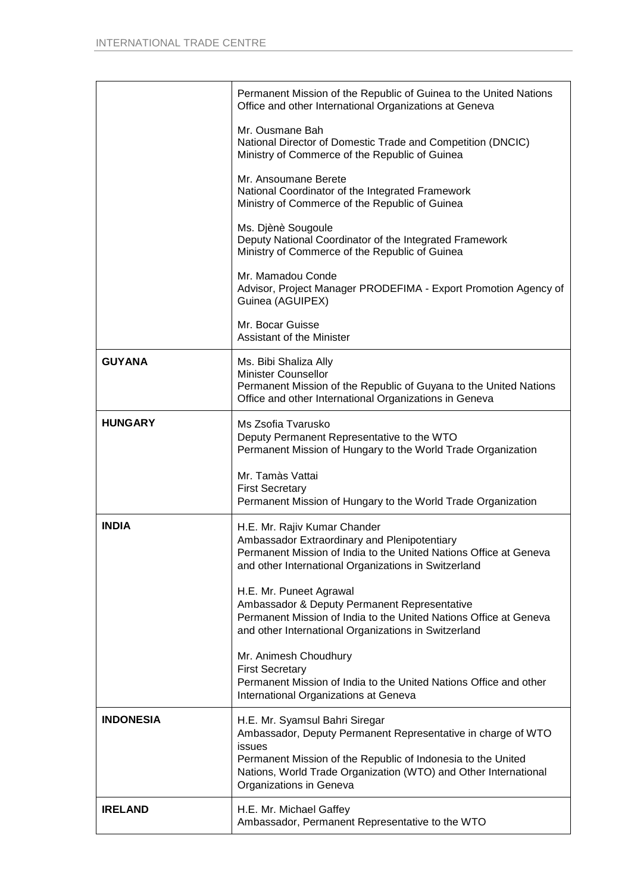|                  | Permanent Mission of the Republic of Guinea to the United Nations<br>Office and other International Organizations at Geneva                                                                                                                                            |
|------------------|------------------------------------------------------------------------------------------------------------------------------------------------------------------------------------------------------------------------------------------------------------------------|
|                  | Mr. Ousmane Bah<br>National Director of Domestic Trade and Competition (DNCIC)<br>Ministry of Commerce of the Republic of Guinea                                                                                                                                       |
|                  | Mr. Ansoumane Berete<br>National Coordinator of the Integrated Framework<br>Ministry of Commerce of the Republic of Guinea                                                                                                                                             |
|                  | Ms. Djènè Sougoule<br>Deputy National Coordinator of the Integrated Framework<br>Ministry of Commerce of the Republic of Guinea                                                                                                                                        |
|                  | Mr. Mamadou Conde<br>Advisor, Project Manager PRODEFIMA - Export Promotion Agency of<br>Guinea (AGUIPEX)                                                                                                                                                               |
|                  | Mr. Bocar Guisse<br>Assistant of the Minister                                                                                                                                                                                                                          |
| <b>GUYANA</b>    | Ms. Bibi Shaliza Ally<br><b>Minister Counsellor</b><br>Permanent Mission of the Republic of Guyana to the United Nations<br>Office and other International Organizations in Geneva                                                                                     |
| <b>HUNGARY</b>   | Ms Zsofia Tvarusko<br>Deputy Permanent Representative to the WTO<br>Permanent Mission of Hungary to the World Trade Organization                                                                                                                                       |
|                  | Mr. Tamàs Vattai<br><b>First Secretary</b><br>Permanent Mission of Hungary to the World Trade Organization                                                                                                                                                             |
| <b>INDIA</b>     | H.E. Mr. Rajiv Kumar Chander<br>Ambassador Extraordinary and Plenipotentiary<br>Permanent Mission of India to the United Nations Office at Geneva<br>and other International Organizations in Switzerland                                                              |
|                  | H.E. Mr. Puneet Agrawal<br>Ambassador & Deputy Permanent Representative<br>Permanent Mission of India to the United Nations Office at Geneva<br>and other International Organizations in Switzerland                                                                   |
|                  | Mr. Animesh Choudhury<br><b>First Secretary</b><br>Permanent Mission of India to the United Nations Office and other<br>International Organizations at Geneva                                                                                                          |
| <b>INDONESIA</b> | H.E. Mr. Syamsul Bahri Siregar<br>Ambassador, Deputy Permanent Representative in charge of WTO<br>issues<br>Permanent Mission of the Republic of Indonesia to the United<br>Nations, World Trade Organization (WTO) and Other International<br>Organizations in Geneva |
| <b>IRELAND</b>   | H.E. Mr. Michael Gaffey<br>Ambassador, Permanent Representative to the WTO                                                                                                                                                                                             |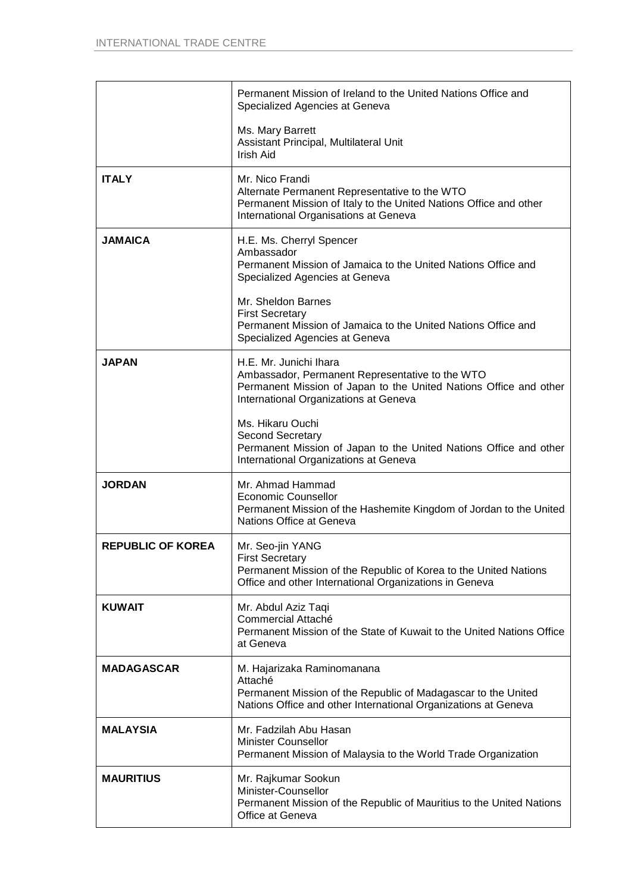|                          | Permanent Mission of Ireland to the United Nations Office and<br>Specialized Agencies at Geneva                                                                                         |
|--------------------------|-----------------------------------------------------------------------------------------------------------------------------------------------------------------------------------------|
|                          | Ms. Mary Barrett<br>Assistant Principal, Multilateral Unit<br>Irish Aid                                                                                                                 |
| <b>ITALY</b>             | Mr. Nico Frandi<br>Alternate Permanent Representative to the WTO<br>Permanent Mission of Italy to the United Nations Office and other<br>International Organisations at Geneva          |
| <b>JAMAICA</b>           | H.E. Ms. Cherryl Spencer<br>Ambassador<br>Permanent Mission of Jamaica to the United Nations Office and<br>Specialized Agencies at Geneva                                               |
|                          | Mr. Sheldon Barnes<br><b>First Secretary</b><br>Permanent Mission of Jamaica to the United Nations Office and<br>Specialized Agencies at Geneva                                         |
| <b>JAPAN</b>             | H.E. Mr. Junichi Ihara<br>Ambassador, Permanent Representative to the WTO<br>Permanent Mission of Japan to the United Nations Office and other<br>International Organizations at Geneva |
|                          | Ms. Hikaru Ouchi<br><b>Second Secretary</b><br>Permanent Mission of Japan to the United Nations Office and other<br>International Organizations at Geneva                               |
| <b>JORDAN</b>            | Mr. Ahmad Hammad<br><b>Economic Counsellor</b><br>Permanent Mission of the Hashemite Kingdom of Jordan to the United<br>Nations Office at Geneva                                        |
| <b>REPUBLIC OF KOREA</b> | Mr. Seo-jin YANG<br><b>First Secretary</b><br>Permanent Mission of the Republic of Korea to the United Nations<br>Office and other International Organizations in Geneva                |
| <b>KUWAIT</b>            | Mr. Abdul Aziz Taqi<br>Commercial Attaché<br>Permanent Mission of the State of Kuwait to the United Nations Office<br>at Geneva                                                         |
| <b>MADAGASCAR</b>        | M. Hajarizaka Raminomanana<br>Attaché<br>Permanent Mission of the Republic of Madagascar to the United<br>Nations Office and other International Organizations at Geneva                |
| <b>MALAYSIA</b>          | Mr. Fadzilah Abu Hasan<br><b>Minister Counsellor</b><br>Permanent Mission of Malaysia to the World Trade Organization                                                                   |
| <b>MAURITIUS</b>         | Mr. Rajkumar Sookun<br>Minister-Counsellor<br>Permanent Mission of the Republic of Mauritius to the United Nations<br>Office at Geneva                                                  |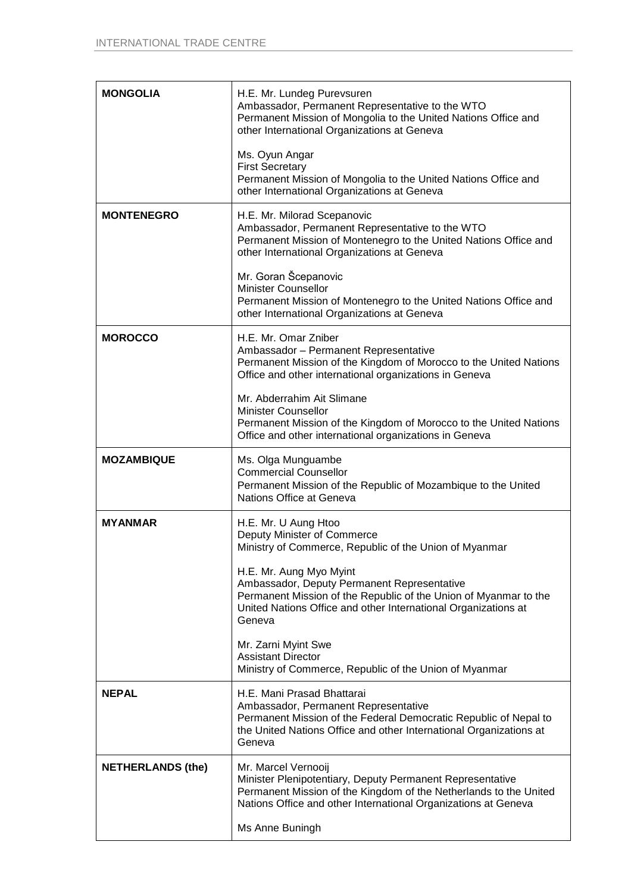| <b>MONGOLIA</b>          | H.E. Mr. Lundeg Purevsuren<br>Ambassador, Permanent Representative to the WTO<br>Permanent Mission of Mongolia to the United Nations Office and<br>other International Organizations at Geneva                                             |
|--------------------------|--------------------------------------------------------------------------------------------------------------------------------------------------------------------------------------------------------------------------------------------|
|                          | Ms. Oyun Angar<br><b>First Secretary</b><br>Permanent Mission of Mongolia to the United Nations Office and<br>other International Organizations at Geneva                                                                                  |
| <b>MONTENEGRO</b>        | H.E. Mr. Milorad Scepanovic<br>Ambassador, Permanent Representative to the WTO<br>Permanent Mission of Montenegro to the United Nations Office and<br>other International Organizations at Geneva                                          |
|                          | Mr. Goran Šcepanovic<br><b>Minister Counsellor</b><br>Permanent Mission of Montenegro to the United Nations Office and<br>other International Organizations at Geneva                                                                      |
| <b>MOROCCO</b>           | H.E. Mr. Omar Zniber<br>Ambassador - Permanent Representative<br>Permanent Mission of the Kingdom of Morocco to the United Nations<br>Office and other international organizations in Geneva                                               |
|                          | Mr. Abderrahim Ait Slimane<br><b>Minister Counsellor</b><br>Permanent Mission of the Kingdom of Morocco to the United Nations<br>Office and other international organizations in Geneva                                                    |
| <b>MOZAMBIQUE</b>        | Ms. Olga Munguambe<br><b>Commercial Counsellor</b><br>Permanent Mission of the Republic of Mozambique to the United<br>Nations Office at Geneva                                                                                            |
| <b>MYANMAR</b>           | H.E. Mr. U Aung Htoo<br>Deputy Minister of Commerce<br>Ministry of Commerce, Republic of the Union of Myanmar                                                                                                                              |
|                          | H.E. Mr. Aung Myo Myint<br>Ambassador, Deputy Permanent Representative<br>Permanent Mission of the Republic of the Union of Myanmar to the<br>United Nations Office and other International Organizations at<br>Geneva                     |
|                          | Mr. Zarni Myint Swe<br><b>Assistant Director</b><br>Ministry of Commerce, Republic of the Union of Myanmar                                                                                                                                 |
| <b>NEPAL</b>             | H.E. Mani Prasad Bhattarai<br>Ambassador, Permanent Representative<br>Permanent Mission of the Federal Democratic Republic of Nepal to<br>the United Nations Office and other International Organizations at<br>Geneva                     |
| <b>NETHERLANDS (the)</b> | Mr. Marcel Vernooij<br>Minister Plenipotentiary, Deputy Permanent Representative<br>Permanent Mission of the Kingdom of the Netherlands to the United<br>Nations Office and other International Organizations at Geneva<br>Ms Anne Buningh |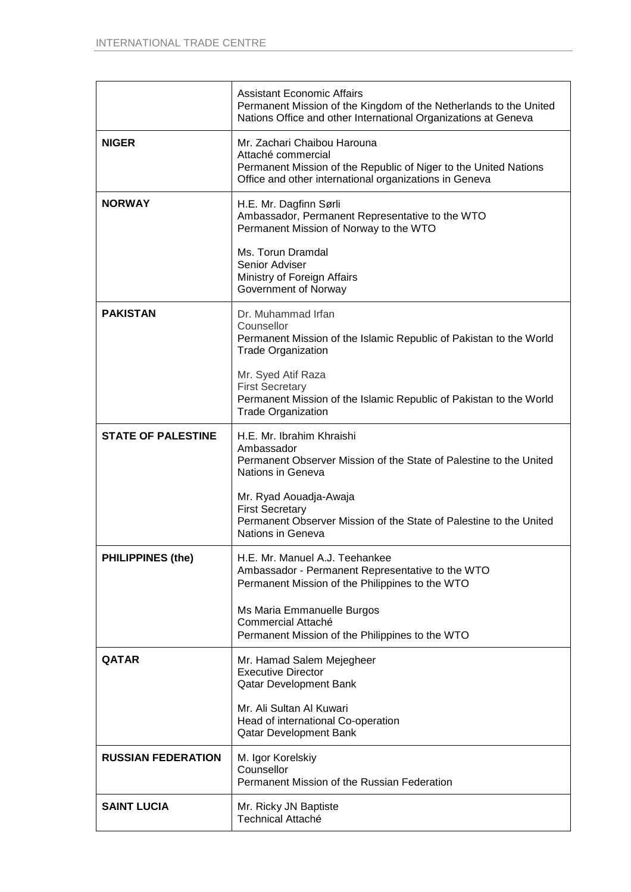|                           | <b>Assistant Economic Affairs</b><br>Permanent Mission of the Kingdom of the Netherlands to the United<br>Nations Office and other International Organizations at Geneva        |
|---------------------------|---------------------------------------------------------------------------------------------------------------------------------------------------------------------------------|
| <b>NIGER</b>              | Mr. Zachari Chaibou Harouna<br>Attaché commercial<br>Permanent Mission of the Republic of Niger to the United Nations<br>Office and other international organizations in Geneva |
| <b>NORWAY</b>             | H.E. Mr. Dagfinn Sørli<br>Ambassador, Permanent Representative to the WTO<br>Permanent Mission of Norway to the WTO                                                             |
|                           | Ms. Torun Dramdal<br>Senior Adviser<br>Ministry of Foreign Affairs<br>Government of Norway                                                                                      |
| <b>PAKISTAN</b>           | Dr. Muhammad Irfan<br>Counsellor<br>Permanent Mission of the Islamic Republic of Pakistan to the World<br><b>Trade Organization</b>                                             |
|                           | Mr. Syed Atif Raza<br><b>First Secretary</b><br>Permanent Mission of the Islamic Republic of Pakistan to the World<br><b>Trade Organization</b>                                 |
| <b>STATE OF PALESTINE</b> | H.E. Mr. Ibrahim Khraishi<br>Ambassador<br>Permanent Observer Mission of the State of Palestine to the United<br>Nations in Geneva                                              |
|                           | Mr. Ryad Aouadja-Awaja<br><b>First Secretary</b><br>Permanent Observer Mission of the State of Palestine to the United<br>Nations in Geneva                                     |
| <b>PHILIPPINES (the)</b>  | H.E. Mr. Manuel A.J. Teehankee<br>Ambassador - Permanent Representative to the WTO<br>Permanent Mission of the Philippines to the WTO                                           |
|                           | Ms Maria Emmanuelle Burgos<br>Commercial Attaché<br>Permanent Mission of the Philippines to the WTO                                                                             |
| QATAR                     | Mr. Hamad Salem Mejegheer<br><b>Executive Director</b><br>Qatar Development Bank                                                                                                |
|                           | Mr. Ali Sultan Al Kuwari<br>Head of international Co-operation<br>Qatar Development Bank                                                                                        |
| <b>RUSSIAN FEDERATION</b> | M. Igor Korelskiy<br>Counsellor<br>Permanent Mission of the Russian Federation                                                                                                  |
| <b>SAINT LUCIA</b>        | Mr. Ricky JN Baptiste<br><b>Technical Attaché</b>                                                                                                                               |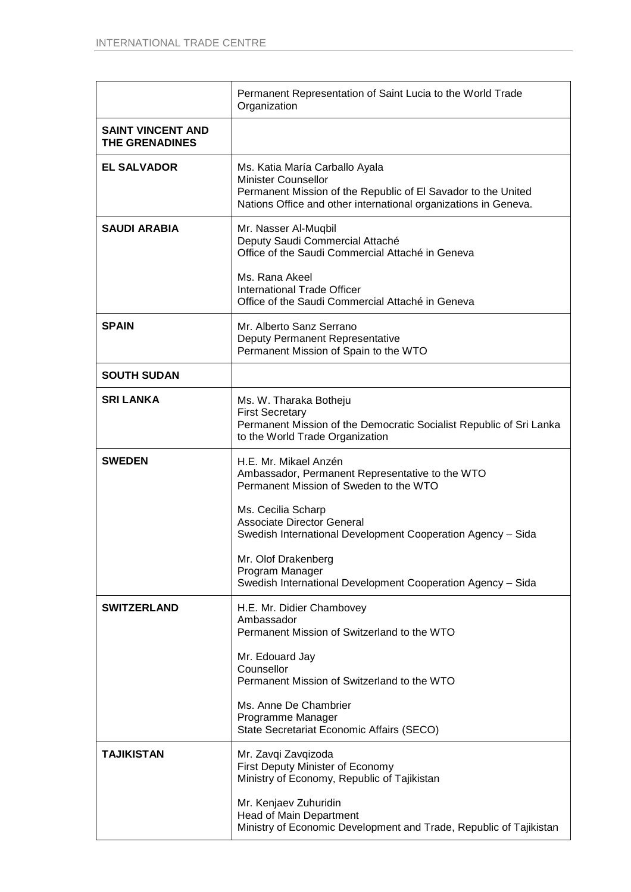|                                                   | Permanent Representation of Saint Lucia to the World Trade<br>Organization                                                                                                                                                      |
|---------------------------------------------------|---------------------------------------------------------------------------------------------------------------------------------------------------------------------------------------------------------------------------------|
| <b>SAINT VINCENT AND</b><br><b>THE GRENADINES</b> |                                                                                                                                                                                                                                 |
| <b>EL SALVADOR</b>                                | Ms. Katia María Carballo Ayala<br><b>Minister Counsellor</b><br>Permanent Mission of the Republic of El Savador to the United<br>Nations Office and other international organizations in Geneva.                                |
| <b>SAUDI ARABIA</b>                               | Mr. Nasser Al-Muqbil<br>Deputy Saudi Commercial Attaché<br>Office of the Saudi Commercial Attaché in Geneva                                                                                                                     |
|                                                   | Ms. Rana Akeel<br><b>International Trade Officer</b><br>Office of the Saudi Commercial Attaché in Geneva                                                                                                                        |
| <b>SPAIN</b>                                      | Mr. Alberto Sanz Serrano<br>Deputy Permanent Representative<br>Permanent Mission of Spain to the WTO                                                                                                                            |
| <b>SOUTH SUDAN</b>                                |                                                                                                                                                                                                                                 |
| <b>SRI LANKA</b>                                  | Ms. W. Tharaka Botheju<br><b>First Secretary</b><br>Permanent Mission of the Democratic Socialist Republic of Sri Lanka<br>to the World Trade Organization                                                                      |
| <b>SWEDEN</b>                                     | H.E. Mr. Mikael Anzén<br>Ambassador, Permanent Representative to the WTO<br>Permanent Mission of Sweden to the WTO                                                                                                              |
|                                                   | Ms. Cecilia Scharp<br><b>Associate Director General</b><br>Swedish International Development Cooperation Agency - Sida<br>Mr. Olof Drakenberg<br>Program Manager<br>Swedish International Development Cooperation Agency - Sida |
| <b>SWITZERLAND</b>                                | H.E. Mr. Didier Chambovey                                                                                                                                                                                                       |
|                                                   | Ambassador<br>Permanent Mission of Switzerland to the WTO                                                                                                                                                                       |
|                                                   | Mr. Edouard Jay<br>Counsellor<br>Permanent Mission of Switzerland to the WTO                                                                                                                                                    |
|                                                   | Ms. Anne De Chambrier<br>Programme Manager<br>State Secretariat Economic Affairs (SECO)                                                                                                                                         |
| TAJIKISTAN                                        | Mr. Zavqi Zavqizoda<br>First Deputy Minister of Economy<br>Ministry of Economy, Republic of Tajikistan                                                                                                                          |
|                                                   | Mr. Kenjaev Zuhuridin<br>Head of Main Department<br>Ministry of Economic Development and Trade, Republic of Tajikistan                                                                                                          |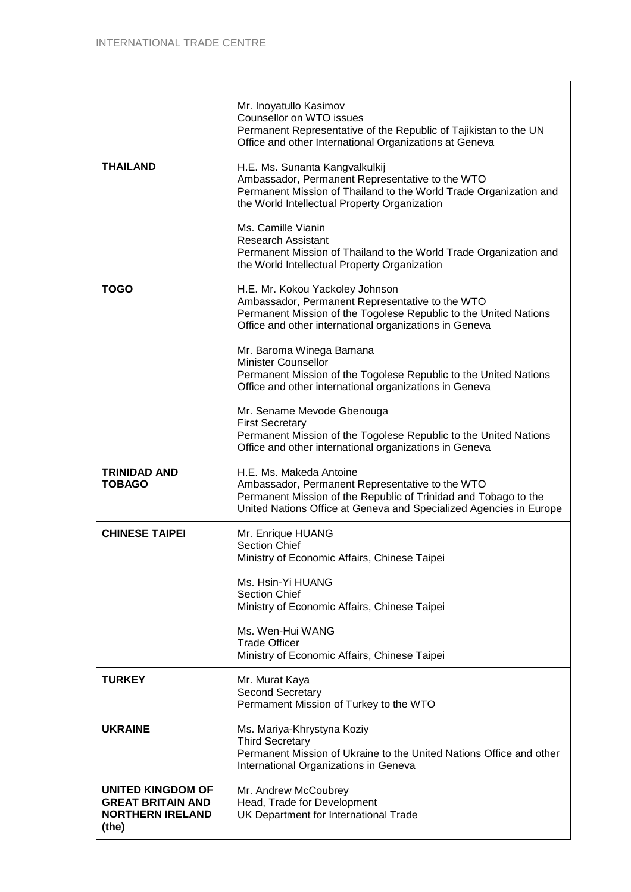|                                                                                   | Mr. Inoyatullo Kasimov<br>Counsellor on WTO issues<br>Permanent Representative of the Republic of Tajikistan to the UN<br>Office and other International Organizations at Geneva                                    |
|-----------------------------------------------------------------------------------|---------------------------------------------------------------------------------------------------------------------------------------------------------------------------------------------------------------------|
| <b>THAILAND</b>                                                                   | H.E. Ms. Sunanta Kangvalkulkij<br>Ambassador, Permanent Representative to the WTO<br>Permanent Mission of Thailand to the World Trade Organization and<br>the World Intellectual Property Organization              |
|                                                                                   | Ms. Camille Vianin<br><b>Research Assistant</b><br>Permanent Mission of Thailand to the World Trade Organization and<br>the World Intellectual Property Organization                                                |
| <b>TOGO</b>                                                                       | H.E. Mr. Kokou Yackoley Johnson<br>Ambassador, Permanent Representative to the WTO<br>Permanent Mission of the Togolese Republic to the United Nations<br>Office and other international organizations in Geneva    |
|                                                                                   | Mr. Baroma Winega Bamana<br><b>Minister Counsellor</b><br>Permanent Mission of the Togolese Republic to the United Nations<br>Office and other international organizations in Geneva                                |
|                                                                                   | Mr. Sename Mevode Gbenouga<br><b>First Secretary</b><br>Permanent Mission of the Togolese Republic to the United Nations<br>Office and other international organizations in Geneva                                  |
| <b>TRINIDAD AND</b><br><b>TOBAGO</b>                                              | H.E. Ms. Makeda Antoine<br>Ambassador, Permanent Representative to the WTO<br>Permanent Mission of the Republic of Trinidad and Tobago to the<br>United Nations Office at Geneva and Specialized Agencies in Europe |
| <b>CHINESE TAIPEI</b>                                                             | Mr. Enrique HUANG<br><b>Section Chief</b><br>Ministry of Economic Affairs, Chinese Taipei                                                                                                                           |
|                                                                                   | Ms. Hsin-Yi HUANG<br><b>Section Chief</b><br>Ministry of Economic Affairs, Chinese Taipei                                                                                                                           |
|                                                                                   | Ms. Wen-Hui WANG<br><b>Trade Officer</b><br>Ministry of Economic Affairs, Chinese Taipei                                                                                                                            |
| <b>TURKEY</b>                                                                     | Mr. Murat Kaya<br><b>Second Secretary</b><br>Permament Mission of Turkey to the WTO                                                                                                                                 |
| <b>UKRAINE</b>                                                                    | Ms. Mariya-Khrystyna Koziy<br><b>Third Secretary</b><br>Permanent Mission of Ukraine to the United Nations Office and other<br>International Organizations in Geneva                                                |
| UNITED KINGDOM OF<br><b>GREAT BRITAIN AND</b><br><b>NORTHERN IRELAND</b><br>(the) | Mr. Andrew McCoubrey<br>Head, Trade for Development<br>UK Department for International Trade                                                                                                                        |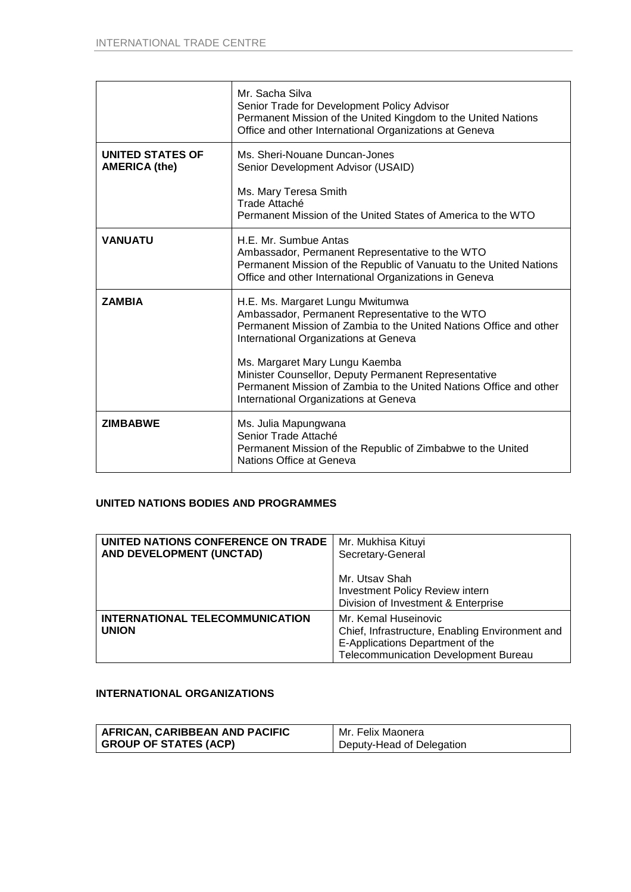|                                                 | Mr. Sacha Silva<br>Senior Trade for Development Policy Advisor<br>Permanent Mission of the United Kingdom to the United Nations<br>Office and other International Organizations at Geneva                                                                                                                                                                                                                   |
|-------------------------------------------------|-------------------------------------------------------------------------------------------------------------------------------------------------------------------------------------------------------------------------------------------------------------------------------------------------------------------------------------------------------------------------------------------------------------|
| <b>UNITED STATES OF</b><br><b>AMERICA (the)</b> | Ms. Sheri-Nouane Duncan-Jones<br>Senior Development Advisor (USAID)<br>Ms. Mary Teresa Smith<br>Trade Attaché<br>Permanent Mission of the United States of America to the WTO                                                                                                                                                                                                                               |
| <b>VANUATU</b>                                  | H.E. Mr. Sumbue Antas<br>Ambassador, Permanent Representative to the WTO<br>Permanent Mission of the Republic of Vanuatu to the United Nations<br>Office and other International Organizations in Geneva                                                                                                                                                                                                    |
| <b>ZAMBIA</b>                                   | H.E. Ms. Margaret Lungu Mwitumwa<br>Ambassador, Permanent Representative to the WTO<br>Permanent Mission of Zambia to the United Nations Office and other<br>International Organizations at Geneva<br>Ms. Margaret Mary Lungu Kaemba<br>Minister Counsellor, Deputy Permanent Representative<br>Permanent Mission of Zambia to the United Nations Office and other<br>International Organizations at Geneva |
| <b>ZIMBABWE</b>                                 | Ms. Julia Mapungwana<br>Senior Trade Attaché<br>Permanent Mission of the Republic of Zimbabwe to the United<br>Nations Office at Geneva                                                                                                                                                                                                                                                                     |

## **UNITED NATIONS BODIES AND PROGRAMMES**

| UNITED NATIONS CONFERENCE ON TRADE<br>AND DEVELOPMENT (UNCTAD) | Mr. Mukhisa Kituyi<br>Secretary-General                                                                                                                    |
|----------------------------------------------------------------|------------------------------------------------------------------------------------------------------------------------------------------------------------|
|                                                                | Mr. Utsav Shah<br>Investment Policy Review intern<br>Division of Investment & Enterprise                                                                   |
| INTERNATIONAL TELECOMMUNICATION<br><b>UNION</b>                | Mr. Kemal Huseinovic<br>Chief, Infrastructure, Enabling Environment and<br>E-Applications Department of the<br><b>Telecommunication Development Bureau</b> |

## **INTERNATIONAL ORGANIZATIONS**

| AFRICAN, CARIBBEAN AND PACIFIC | Mr. Felix Maonera         |
|--------------------------------|---------------------------|
| GROUP OF STATES (ACP)          | Deputy-Head of Delegation |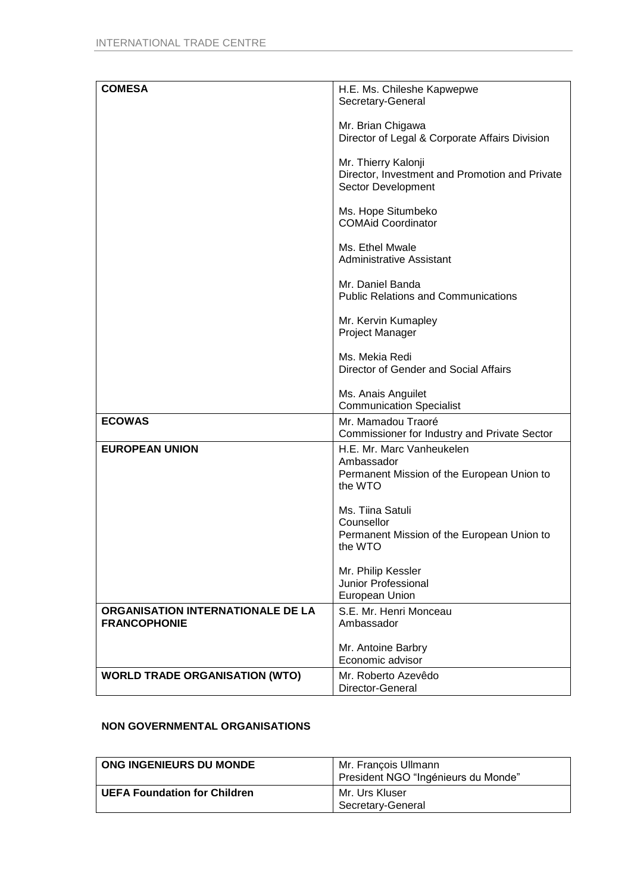| <b>COMESA</b>                         | H.E. Ms. Chileshe Kapwepwe                     |
|---------------------------------------|------------------------------------------------|
|                                       | Secretary-General                              |
|                                       |                                                |
|                                       |                                                |
|                                       | Mr. Brian Chigawa                              |
|                                       | Director of Legal & Corporate Affairs Division |
|                                       |                                                |
|                                       | Mr. Thierry Kalonji                            |
|                                       |                                                |
|                                       | Director, Investment and Promotion and Private |
|                                       | Sector Development                             |
|                                       |                                                |
|                                       | Ms. Hope Situmbeko                             |
|                                       | <b>COMAid Coordinator</b>                      |
|                                       |                                                |
|                                       |                                                |
|                                       | Ms. Ethel Mwale                                |
|                                       | <b>Administrative Assistant</b>                |
|                                       |                                                |
|                                       | Mr. Daniel Banda                               |
|                                       | <b>Public Relations and Communications</b>     |
|                                       |                                                |
|                                       |                                                |
|                                       | Mr. Kervin Kumapley                            |
|                                       | Project Manager                                |
|                                       |                                                |
|                                       | Ms. Mekia Redi                                 |
|                                       |                                                |
|                                       | Director of Gender and Social Affairs          |
|                                       |                                                |
|                                       | Ms. Anais Anguilet                             |
|                                       | <b>Communication Specialist</b>                |
| <b>ECOWAS</b>                         | Mr. Mamadou Traoré                             |
|                                       |                                                |
|                                       | Commissioner for Industry and Private Sector   |
| <b>EUROPEAN UNION</b>                 | H.E. Mr. Marc Vanheukelen                      |
|                                       | Ambassador                                     |
|                                       | Permanent Mission of the European Union to     |
|                                       | the WTO                                        |
|                                       |                                                |
|                                       |                                                |
|                                       | Ms. Tiina Satuli                               |
|                                       | Counsellor                                     |
|                                       | Permanent Mission of the European Union to     |
|                                       | the WTO                                        |
|                                       |                                                |
|                                       | Mr. Philip Kessler                             |
|                                       |                                                |
|                                       | <b>Junior Professional</b>                     |
|                                       | European Union                                 |
| ORGANISATION INTERNATIONALE DE LA     | S.E. Mr. Henri Monceau                         |
| <b>FRANCOPHONIE</b>                   | Ambassador                                     |
|                                       |                                                |
|                                       |                                                |
|                                       | Mr. Antoine Barbry                             |
|                                       | Economic advisor                               |
| <b>WORLD TRADE ORGANISATION (WTO)</b> | Mr. Roberto Azevêdo                            |
|                                       |                                                |
|                                       | Director-General                               |

# **NON GOVERNMENTAL ORGANISATIONS**

| ONG INGENIEURS DU MONDE             | Mr. François Ullmann<br>President NGO "Ingénieurs du Monde" |
|-------------------------------------|-------------------------------------------------------------|
| <b>UEFA Foundation for Children</b> | Mr. Urs Kluser<br>Secretary-General                         |